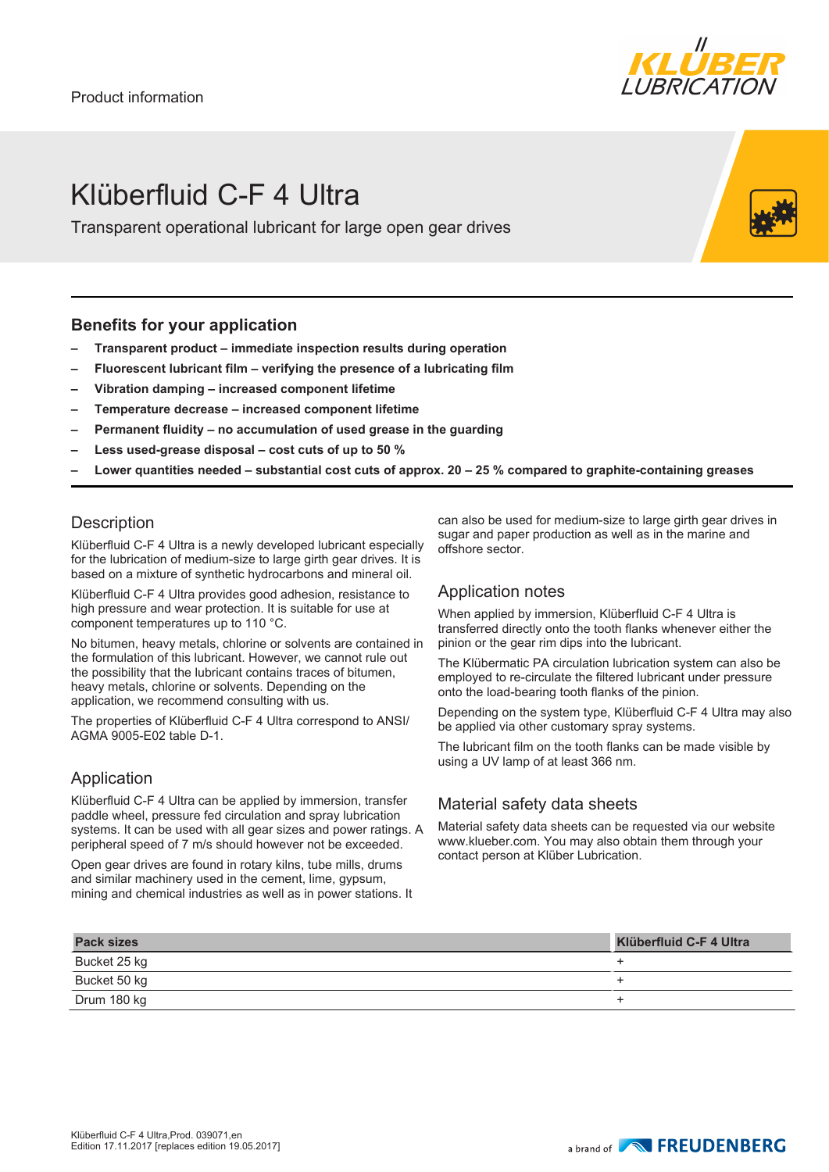

# Klüberfluid C-F 4 Ultra

Transparent operational lubricant for large open gear drives

#### **Benefits for your application**

- **– Transparent product immediate inspection results during operation**
- **– Fluorescent lubricant film verifying the presence of a lubricating film**
- **– Vibration damping increased component lifetime**
- **– Temperature decrease increased component lifetime**
- **– Permanent fluidity no accumulation of used grease in the guarding**
- **– Less used-grease disposal cost cuts of up to 50 %**
- **– Lower quantities needed substantial cost cuts of approx. 20 25 % compared to graphite-containing greases**

## **Description**

Klüberfluid C-F 4 Ultra is a newly developed lubricant especially for the lubrication of medium-size to large girth gear drives. It is based on a mixture of synthetic hydrocarbons and mineral oil.

Klüberfluid C-F 4 Ultra provides good adhesion, resistance to high pressure and wear protection. It is suitable for use at component temperatures up to 110 °C.

No bitumen, heavy metals, chlorine or solvents are contained in the formulation of this lubricant. However, we cannot rule out the possibility that the lubricant contains traces of bitumen, heavy metals, chlorine or solvents. Depending on the application, we recommend consulting with us.

The properties of Klüberfluid C-F 4 Ultra correspond to ANSI/ AGMA 9005-E02 table D-1.

## Application

Klüberfluid C-F 4 Ultra can be applied by immersion, transfer paddle wheel, pressure fed circulation and spray lubrication systems. It can be used with all gear sizes and power ratings. A peripheral speed of 7 m/s should however not be exceeded.

Open gear drives are found in rotary kilns, tube mills, drums and similar machinery used in the cement, lime, gypsum, mining and chemical industries as well as in power stations. It can also be used for medium-size to large girth gear drives in sugar and paper production as well as in the marine and offshore sector.

### Application notes

When applied by immersion, Klüberfluid C-F 4 Ultra is transferred directly onto the tooth flanks whenever either the pinion or the gear rim dips into the lubricant.

The Klübermatic PA circulation lubrication system can also be employed to re-circulate the filtered lubricant under pressure onto the load-bearing tooth flanks of the pinion.

Depending on the system type, Klüberfluid C-F 4 Ultra may also be applied via other customary spray systems.

The lubricant film on the tooth flanks can be made visible by using a UV lamp of at least 366 nm.

## Material safety data sheets

Material safety data sheets can be requested via our website www.klueber.com. You may also obtain them through your contact person at Klüber Lubrication.

| <b>Pack sizes</b> | <b>Klüberfluid C-F 4 Ultra</b> |
|-------------------|--------------------------------|
| Bucket 25 kg      |                                |
| Bucket 50 kg      |                                |
| Drum 180 kg       |                                |